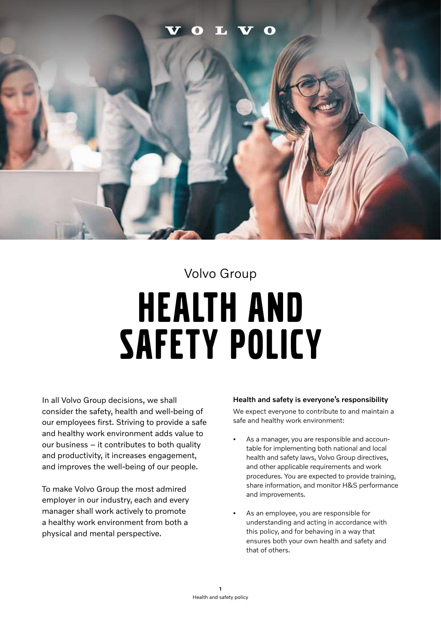# HEALTH AND SAFETY POLICY Volvo Group

In all Volvo Group decisions, we shall consider the safety, health and well-being of our employees first. Striving to provide a safe and healthy work environment adds value to our business – it contributes to both quality and productivity, it increases engagement, and improves the well-being of our people.

To make Volvo Group the most admired employer in our industry, each and every manager shall work actively to promote a healthy work environment from both a physical and mental perspective.

# Health and safety is everyone's responsibility

We expect everyone to contribute to and maintain a safe and healthy work environment:

- As a manager, you are responsible and accountable for implementing both national and local health and safety laws, Volvo Group directives, and other applicable requirements and work procedures. You are expected to provide training, share information, and monitor H&S performance and improvements.
- As an employee, you are responsible for understanding and acting in accordance with this policy, and for behaving in a way that ensures both your own health and safety and that of others.